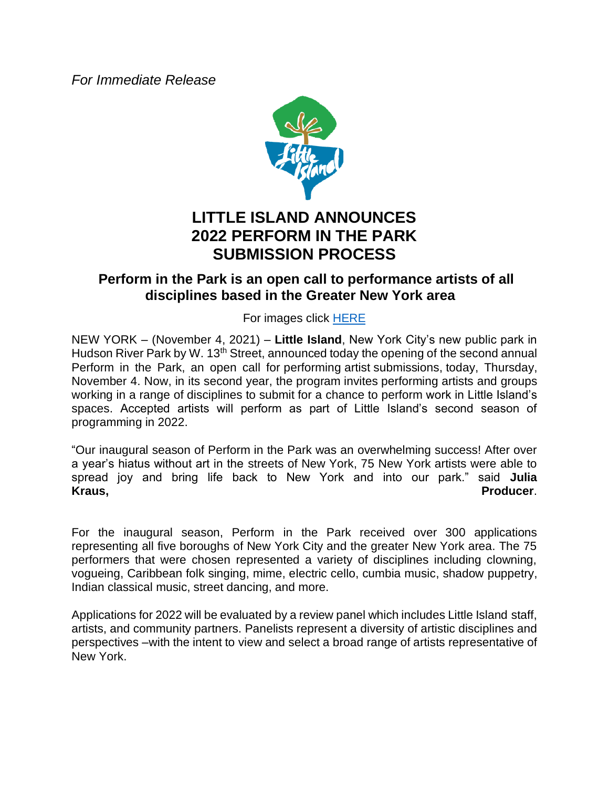*For Immediate Release*



## **LITTLE ISLAND ANNOUNCES 2022 PERFORM IN THE PARK SUBMISSION PROCESS**

## **Perform in the Park is an open call to performance artists of all disciplines based in the Greater New York area**

For images click [HERE](https://littleisland.canto.com/v/Press/landing?viewIndex=0)

NEW YORK – (November 4, 2021) – **Little Island**, New York City's new public park in Hudson River Park by W. 13<sup>th</sup> Street, announced today the opening of the second annual Perform in the Park, an open call for performing artist submissions, today, Thursday, November 4. Now, in its second year, the program invites performing artists and groups working in a range of disciplines to submit for a chance to perform work in Little Island's spaces. Accepted artists will perform as part of Little Island's second season of programming in 2022.

"Our inaugural season of Perform in the Park was an overwhelming success! After over a year's hiatus without art in the streets of New York, 75 New York artists were able to spread joy and bring life back to New York and into our park." said **Julia Kraus, Producer**.

For the inaugural season, Perform in the Park received over 300 applications representing all five boroughs of New York City and the greater New York area. The 75 performers that were chosen represented a variety of disciplines including clowning, vogueing, Caribbean folk singing, mime, electric cello, cumbia music, shadow puppetry, Indian classical music, street dancing, and more.

Applications for 2022 will be evaluated by a review panel which includes Little Island staff, artists, and community partners. Panelists represent a diversity of artistic disciplines and perspectives –with the intent to view and select a broad range of artists representative of New York.